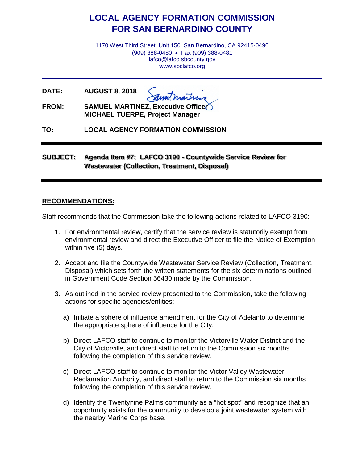# **LOCAL AGENCY FORMATION COMMISSION FOR SAN BERNARDINO COUNTY**

1170 West Third Street, Unit 150, San Bernardino, CA 92415-0490 (909) 388-0480 • Fax (909) 388-0481 lafco@lafco.sbcounty.gov www.sbclafco.org

**DATE: AUGUST 8, 2018**

**FROM: SAMUEL MARTINEZ, Executive Officer MICHAEL TUERPE, Project Manager**

**TO: LOCAL AGENCY FORMATION COMMISSION**

**SUBJECT: Agenda Item #7: LAFCO 3190 - Countywide Service Review for Wastewater (Collection, Treatment, Disposal)**

### **RECOMMENDATIONS:**

Staff recommends that the Commission take the following actions related to LAFCO 3190:

- 1. For environmental review, certify that the service review is statutorily exempt from environmental review and direct the Executive Officer to file the Notice of Exemption within five (5) days.
- 2. Accept and file the Countywide Wastewater Service Review (Collection, Treatment, Disposal) which sets forth the written statements for the six determinations outlined in Government Code Section 56430 made by the Commission.
- 3. As outlined in the service review presented to the Commission, take the following actions for specific agencies/entities:
	- a) Initiate a sphere of influence amendment for the City of Adelanto to determine the appropriate sphere of influence for the City.
	- b) Direct LAFCO staff to continue to monitor the Victorville Water District and the City of Victorville, and direct staff to return to the Commission six months following the completion of this service review.
	- c) Direct LAFCO staff to continue to monitor the Victor Valley Wastewater Reclamation Authority, and direct staff to return to the Commission six months following the completion of this service review.
	- d) Identify the Twentynine Palms community as a "hot spot" and recognize that an opportunity exists for the community to develop a joint wastewater system with the nearby Marine Corps base.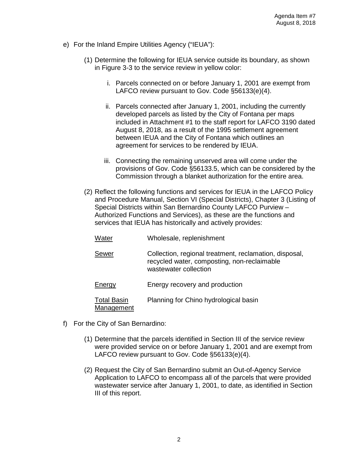- e) For the Inland Empire Utilities Agency ("IEUA"):
	- (1) Determine the following for IEUA service outside its boundary, as shown in Figure 3-3 to the service review in yellow color:
		- i. Parcels connected on or before January 1, 2001 are exempt from LAFCO review pursuant to Gov. Code §56133(e)(4).
		- ii. Parcels connected after January 1, 2001, including the currently developed parcels as listed by the City of Fontana per maps included in Attachment #1 to the staff report for LAFCO 3190 dated August 8, 2018, as a result of the 1995 settlement agreement between IEUA and the City of Fontana which outlines an agreement for services to be rendered by IEUA.
		- iii. Connecting the remaining unserved area will come under the provisions of Gov. Code §56133.5, which can be considered by the Commission through a blanket authorization for the entire area.
	- (2) Reflect the following functions and services for IEUA in the LAFCO Policy and Procedure Manual, Section VI (Special Districts), Chapter 3 (Listing of Special Districts within San Bernardino County LAFCO Purview – Authorized Functions and Services), as these are the functions and services that IEUA has historically and actively provides:

| Water                            | Wholesale, replenishment                                                                                                       |
|----------------------------------|--------------------------------------------------------------------------------------------------------------------------------|
| Sewer                            | Collection, regional treatment, reclamation, disposal,<br>recycled water, composting, non-reclaimable<br>wastewater collection |
| <b>Energy</b>                    | Energy recovery and production                                                                                                 |
| <b>Total Basin</b><br>Management | Planning for Chino hydrological basin                                                                                          |

- f) For the City of San Bernardino:
	- (1) Determine that the parcels identified in Section III of the service review were provided service on or before January 1, 2001 and are exempt from LAFCO review pursuant to Gov. Code §56133(e)(4).
	- (2) Request the City of San Bernardino submit an Out-of-Agency Service Application to LAFCO to encompass all of the parcels that were provided wastewater service after January 1, 2001, to date, as identified in Section III of this report.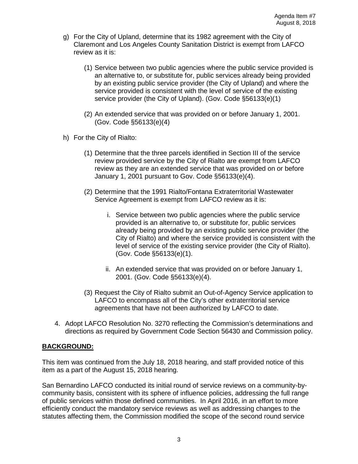- g) For the City of Upland, determine that its 1982 agreement with the City of Claremont and Los Angeles County Sanitation District is exempt from LAFCO review as it is:
	- (1) Service between two public agencies where the public service provided is an alternative to, or substitute for, public services already being provided by an existing public service provider (the City of Upland) and where the service provided is consistent with the level of service of the existing service provider (the City of Upland). (Gov. Code §56133(e)(1)
	- (2) An extended service that was provided on or before January 1, 2001. (Gov. Code §56133(e)(4)
- h) For the City of Rialto:
	- (1) Determine that the three parcels identified in Section III of the service review provided service by the City of Rialto are exempt from LAFCO review as they are an extended service that was provided on or before January 1, 2001 pursuant to Gov. Code §56133(e)(4).
	- (2) Determine that the 1991 Rialto/Fontana Extraterritorial Wastewater Service Agreement is exempt from LAFCO review as it is:
		- i. Service between two public agencies where the public service provided is an alternative to, or substitute for, public services already being provided by an existing public service provider (the City of Rialto) and where the service provided is consistent with the level of service of the existing service provider (the City of Rialto). (Gov. Code §56133(e)(1).
		- ii. An extended service that was provided on or before January 1, 2001. (Gov. Code §56133(e)(4).
	- (3) Request the City of Rialto submit an Out-of-Agency Service application to LAFCO to encompass all of the City's other extraterritorial service agreements that have not been authorized by LAFCO to date.
- 4. Adopt LAFCO Resolution No. 3270 reflecting the Commission's determinations and directions as required by Government Code Section 56430 and Commission policy.

### **BACKGROUND:**

This item was continued from the July 18, 2018 hearing, and staff provided notice of this item as a part of the August 15, 2018 hearing.

San Bernardino LAFCO conducted its initial round of service reviews on a community-bycommunity basis, consistent with its sphere of influence policies, addressing the full range of public services within those defined communities. In April 2016, in an effort to more efficiently conduct the mandatory service reviews as well as addressing changes to the statutes affecting them, the Commission modified the scope of the second round service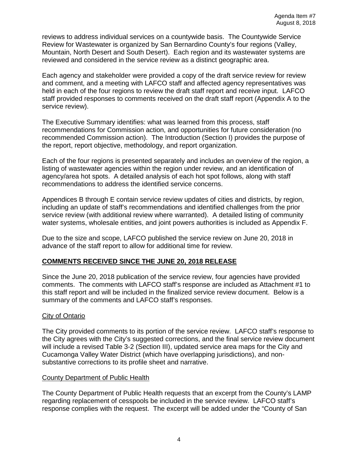reviews to address individual services on a countywide basis. The Countywide Service Review for Wastewater is organized by San Bernardino County's four regions (Valley, Mountain, North Desert and South Desert). Each region and its wastewater systems are reviewed and considered in the service review as a distinct geographic area.

Each agency and stakeholder were provided a copy of the draft service review for review and comment, and a meeting with LAFCO staff and affected agency representatives was held in each of the four regions to review the draft staff report and receive input. LAFCO staff provided responses to comments received on the draft staff report (Appendix A to the service review).

The Executive Summary identifies: what was learned from this process, staff recommendations for Commission action, and opportunities for future consideration (no recommended Commission action). The Introduction (Section I) provides the purpose of the report, report objective, methodology, and report organization.

Each of the four regions is presented separately and includes an overview of the region, a listing of wastewater agencies within the region under review, and an identification of agency/area hot spots. A detailed analysis of each hot spot follows, along with staff recommendations to address the identified service concerns.

Appendices B through E contain service review updates of cities and districts, by region, including an update of staff's recommendations and identified challenges from the prior service review (with additional review where warranted). A detailed listing of community water systems, wholesale entities, and joint powers authorities is included as Appendix F.

Due to the size and scope, LAFCO published the service review on June 20, 2018 in advance of the staff report to allow for additional time for review.

## **COMMENTS RECEIVED SINCE THE JUNE 20, 2018 RELEASE**

Since the June 20, 2018 publication of the service review, four agencies have provided comments. The comments with LAFCO staff's response are included as Attachment #1 to this staff report and will be included in the finalized service review document. Below is a summary of the comments and LAFCO staff's responses.

### **City of Ontario**

The City provided comments to its portion of the service review. LAFCO staff's response to the City agrees with the City's suggested corrections, and the final service review document will include a revised Table 3-2 (Section III), updated service area maps for the City and Cucamonga Valley Water District (which have overlapping jurisdictions), and nonsubstantive corrections to its profile sheet and narrative.

### County Department of Public Health

The County Department of Public Health requests that an excerpt from the County's LAMP regarding replacement of cesspools be included in the service review. LAFCO staff's response complies with the request. The excerpt will be added under the "County of San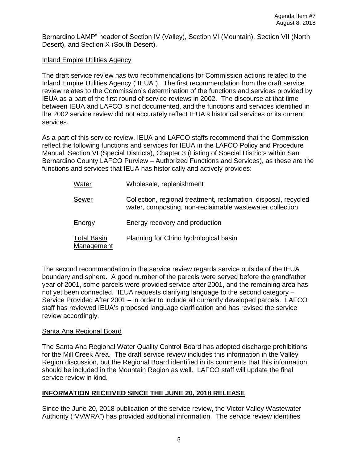Bernardino LAMP" header of Section IV (Valley), Section VI (Mountain), Section VII (North Desert), and Section X (South Desert).

## Inland Empire Utilities Agency

The draft service review has two recommendations for Commission actions related to the Inland Empire Utilities Agency ("IEUA"). The first recommendation from the draft service review relates to the Commission's determination of the functions and services provided by IEUA as a part of the first round of service reviews in 2002. The discourse at that time between IEUA and LAFCO is not documented, and the functions and services identified in the 2002 service review did not accurately reflect IEUA's historical services or its current services.

As a part of this service review, IEUA and LAFCO staffs recommend that the Commission reflect the following functions and services for IEUA in the LAFCO Policy and Procedure Manual, Section VI (Special Districts), Chapter 3 (Listing of Special Districts within San Bernardino County LAFCO Purview – Authorized Functions and Services), as these are the functions and services that IEUA has historically and actively provides:

> Water Wholesale, replenishment Sewer **Collection, regional treatment, reclamation, disposal, recycled** water, composting, non-reclaimable wastewater collection Energy Energy recovery and production Total Basin Planning for Chino hydrological basin Management

The second recommendation in the service review regards service outside of the IEUA boundary and sphere. A good number of the parcels were served before the grandfather year of 2001, some parcels were provided service after 2001, and the remaining area has not yet been connected. IEUA requests clarifying language to the second category – Service Provided After 2001 – in order to include all currently developed parcels. LAFCO staff has reviewed IEUA's proposed language clarification and has revised the service review accordingly.

## Santa Ana Regional Board

The Santa Ana Regional Water Quality Control Board has adopted discharge prohibitions for the Mill Creek Area. The draft service review includes this information in the Valley Region discussion, but the Regional Board identified in its comments that this information should be included in the Mountain Region as well. LAFCO staff will update the final service review in kind.

## **INFORMATION RECEIVED SINCE THE JUNE 20, 2018 RELEASE**

Since the June 20, 2018 publication of the service review, the Victor Valley Wastewater Authority ("VVWRA") has provided additional information. The service review identifies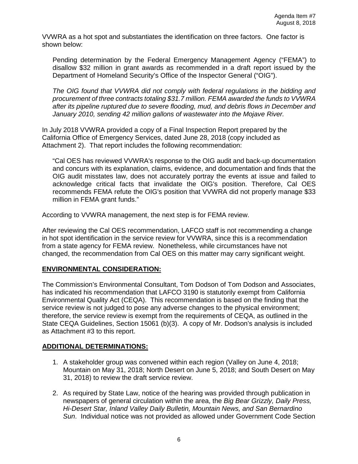VVWRA as a hot spot and substantiates the identification on three factors. One factor is shown below:

Pending determination by the Federal Emergency Management Agency ("FEMA") to disallow \$32 million in grant awards as recommended in a draft report issued by the Department of Homeland Security's Office of the Inspector General ("OIG").

*The OIG found that VVWRA did not comply with federal regulations in the bidding and procurement of three contracts totaling \$31.7 million. FEMA awarded the funds to VVWRA after its pipeline ruptured due to severe flooding, mud, and debris flows in December and January 2010, sending 42 million gallons of wastewater into the Mojave River.*

In July 2018 VVWRA provided a copy of a Final Inspection Report prepared by the California Office of Emergency Services, dated June 28, 2018 (copy included as Attachment 2). That report includes the following recommendation:

"Cal OES has reviewed VVWRA's response to the OIG audit and back-up documentation and concurs with its explanation, claims, evidence, and documentation and finds that the OIG audit misstates law, does not accurately portray the events at issue and failed to acknowledge critical facts that invalidate the OIG's position. Therefore, Cal OES recommends FEMA refute the OIG's position that VVWRA did not properly manage \$33 million in FEMA grant funds."

According to VVWRA management, the next step is for FEMA review.

After reviewing the Cal OES recommendation, LAFCO staff is not recommending a change in hot spot identification in the service review for VVWRA, since this is a recommendation from a state agency for FEMA review. Nonetheless, while circumstances have not changed, the recommendation from Cal OES on this matter may carry significant weight.

## **ENVIRONMENTAL CONSIDERATION:**

The Commission's Environmental Consultant, Tom Dodson of Tom Dodson and Associates, has indicated his recommendation that LAFCO 3190 is statutorily exempt from California Environmental Quality Act (CEQA). This recommendation is based on the finding that the service review is not judged to pose any adverse changes to the physical environment; therefore, the service review is exempt from the requirements of CEQA, as outlined in the State CEQA Guidelines, Section 15061 (b)(3). A copy of Mr. Dodson's analysis is included as Attachment #3 to this report.

### **ADDITIONAL DETERMINATIONS:**

- 1. A stakeholder group was convened within each region (Valley on June 4, 2018; Mountain on May 31, 2018; North Desert on June 5, 2018; and South Desert on May 31, 2018) to review the draft service review.
- 2. As required by State Law, notice of the hearing was provided through publication in newspapers of general circulation within the area, the *Big Bear Grizzly, Daily Press, Hi-Desert Star, Inland Valley Daily Bulletin, Mountain News, and San Bernardino Sun*. Individual notice was not provided as allowed under Government Code Section